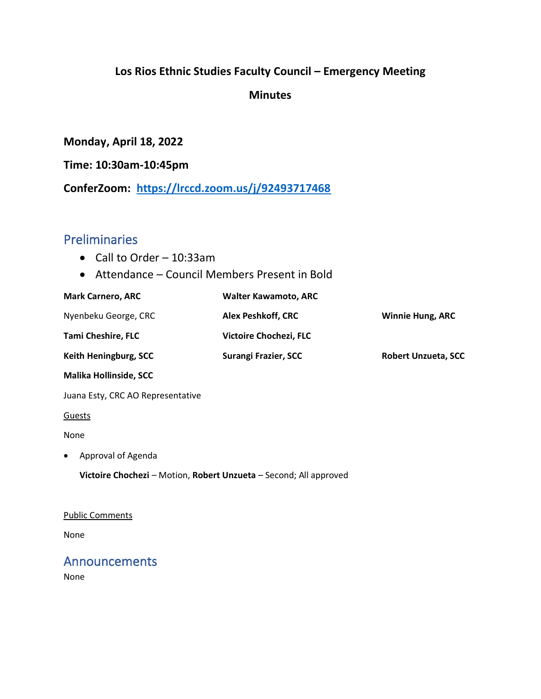# **Los Rios Ethnic Studies Faculty Council – Emergency Meeting**

### **Minutes**

**Monday, April 18, 2022**

**Time: 10:30am-10:45pm**

**ConferZoom: <https://lrccd.zoom.us/j/92493717468>**

### Preliminaries

- Call to Order 10:33am
- Attendance Council Members Present in Bold

| <b>Mark Carnero, ARC</b>                                          | <b>Walter Kawamoto, ARC</b> |                            |
|-------------------------------------------------------------------|-----------------------------|----------------------------|
| Nyenbeku George, CRC                                              | <b>Alex Peshkoff, CRC</b>   | <b>Winnie Hung, ARC</b>    |
| <b>Tami Cheshire, FLC</b>                                         | Victoire Chochezi, FLC      |                            |
| Keith Heningburg, SCC                                             | <b>Surangi Frazier, SCC</b> | <b>Robert Unzueta, SCC</b> |
| <b>Malika Hollinside, SCC</b>                                     |                             |                            |
| Juana Esty, CRC AO Representative                                 |                             |                            |
| Guests                                                            |                             |                            |
| None                                                              |                             |                            |
| Approval of Agenda                                                |                             |                            |
| Victoire Chochezi - Motion, Robert Unzueta - Second; All approved |                             |                            |
|                                                                   |                             |                            |
| <b>Public Comments</b>                                            |                             |                            |

None

### **Announcements**

None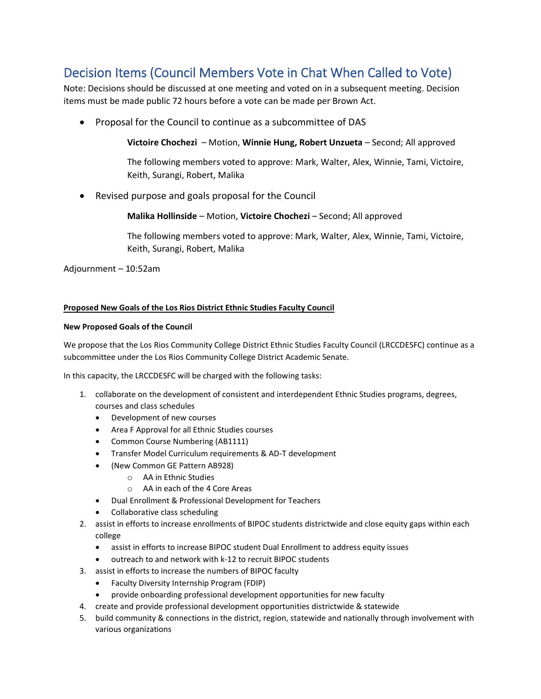## Decision Items (Council Members Vote in Chat When Called to Vote)

Note: Decisions should be discussed at one meeting and voted on in a subsequent meeting. Decision items must be made public 72 hours before a vote can be made per Brown Act.

• Proposal for the Council to continue as a subcommittee of DAS

#### **Victoire Chochezi** – Motion, **Winnie Hung, Robert Unzueta** – Second; All approved

The following members voted to approve: Mark, Walter, Alex, Winnie, Tami, Victoire, Keith, Surangi, Robert, Malika

• Revised purpose and goals proposal for the Council

**Malika Hollinside** – Motion, **Victoire Chochezi** – Second; All approved

The following members voted to approve: Mark, Walter, Alex, Winnie, Tami, Victoire, Keith, Surangi, Robert, Malika

Adjournment – 10:52am

#### **Proposed New Goals of the Los Rios District Ethnic Studies Faculty Council**

#### **New Proposed Goals of the Council**

We propose that the Los Rios Community College District Ethnic Studies Faculty Council (LRCCDESFC) continue as a subcommittee under the Los Rios Community College District Academic Senate.

In this capacity, the LRCCDESFC will be charged with the following tasks:

- 1. collaborate on the development of consistent and interdependent Ethnic Studies programs, degrees, courses and class schedules
	- Development of new courses
	- Area F Approval for all Ethnic Studies courses
	- Common Course Numbering (AB1111)
	- Transfer Model Curriculum requirements & AD-T development
	- (New Common GE Pattern AB928)
		- o AA in Ethnic Studies
		- o AA in each of the 4 Core Areas
	- Dual Enrollment & Professional Development for Teachers
	- Collaborative class scheduling
- 2. assist in efforts to increase enrollments of BIPOC students districtwide and close equity gaps within each college
	- assist in efforts to increase BIPOC student Dual Enrollment to address equity issues
	- outreach to and network with k-12 to recruit BIPOC students
- 3. assist in efforts to increase the numbers of BIPOC faculty
	- Faculty Diversity Internship Program (FDIP)
	- provide onboarding professional development opportunities for new faculty
- 4. create and provide professional development opportunities districtwide & statewide
- 5. build community & connections in the district, region, statewide and nationally through involvement with various organizations